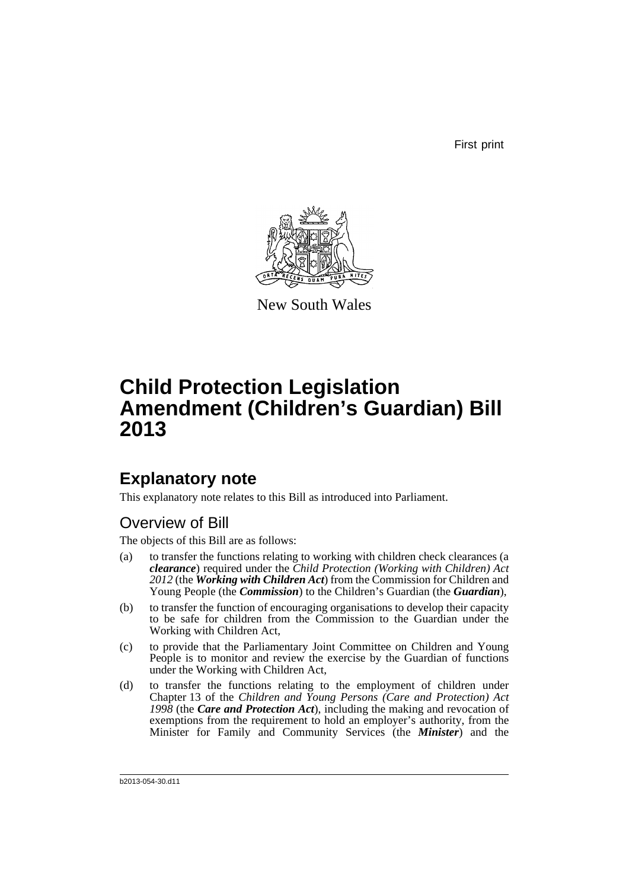First print



New South Wales

# **Child Protection Legislation Amendment (Children's Guardian) Bill 2013**

# **Explanatory note**

This explanatory note relates to this Bill as introduced into Parliament.

# Overview of Bill

The objects of this Bill are as follows:

- (a) to transfer the functions relating to working with children check clearances (a *clearance*) required under the *Child Protection (Working with Children) Act 2012* (the *Working with Children Act*) from the Commission for Children and Young People (the *Commission*) to the Children's Guardian (the *Guardian*),
- (b) to transfer the function of encouraging organisations to develop their capacity to be safe for children from the Commission to the Guardian under the Working with Children Act,
- (c) to provide that the Parliamentary Joint Committee on Children and Young People is to monitor and review the exercise by the Guardian of functions under the Working with Children Act,
- (d) to transfer the functions relating to the employment of children under Chapter 13 of the *Children and Young Persons (Care and Protection) Act 1998* (the *Care and Protection Act*), including the making and revocation of exemptions from the requirement to hold an employer's authority, from the Minister for Family and Community Services (the *Minister*) and the

b2013-054-30.d11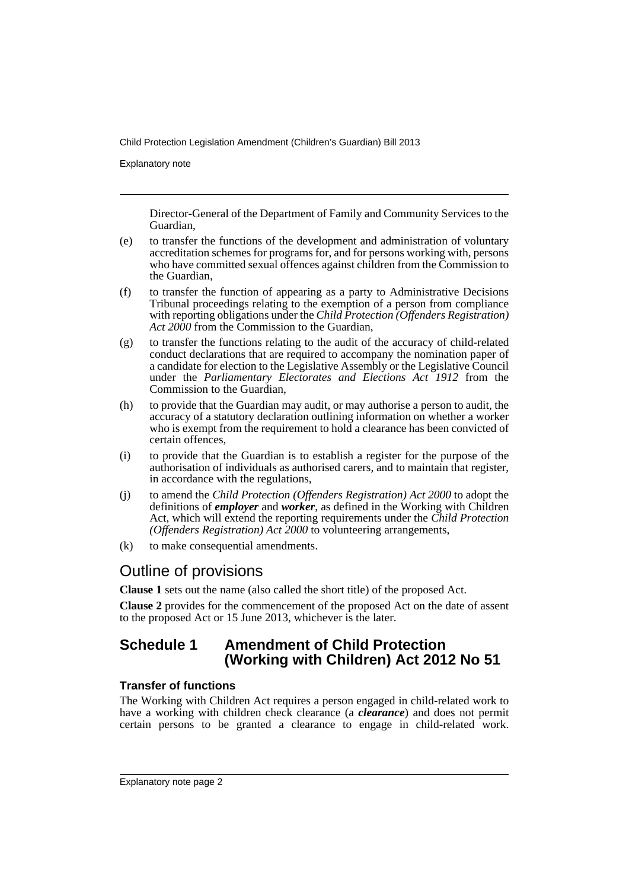Explanatory note

Director-General of the Department of Family and Community Services to the Guardian,

- (e) to transfer the functions of the development and administration of voluntary accreditation schemes for programs for, and for persons working with, persons who have committed sexual offences against children from the Commission to the Guardian,
- (f) to transfer the function of appearing as a party to Administrative Decisions Tribunal proceedings relating to the exemption of a person from compliance with reporting obligations under the *Child Protection (Offenders Registration) Act 2000* from the Commission to the Guardian,
- (g) to transfer the functions relating to the audit of the accuracy of child-related conduct declarations that are required to accompany the nomination paper of a candidate for election to the Legislative Assembly or the Legislative Council under the *Parliamentary Electorates and Elections Act 1912* from the Commission to the Guardian,
- (h) to provide that the Guardian may audit, or may authorise a person to audit, the accuracy of a statutory declaration outlining information on whether a worker who is exempt from the requirement to hold a clearance has been convicted of certain offences,
- (i) to provide that the Guardian is to establish a register for the purpose of the authorisation of individuals as authorised carers, and to maintain that register, in accordance with the regulations,
- (j) to amend the *Child Protection (Offenders Registration) Act 2000* to adopt the definitions of *employer* and *worker*, as defined in the Working with Children Act, which will extend the reporting requirements under the *Child Protection (Offenders Registration) Act 2000* to volunteering arrangements,
- (k) to make consequential amendments.

# Outline of provisions

**Clause 1** sets out the name (also called the short title) of the proposed Act.

**Clause 2** provides for the commencement of the proposed Act on the date of assent to the proposed Act or 15 June 2013, whichever is the later.

# **Schedule 1 Amendment of Child Protection (Working with Children) Act 2012 No 51**

### **Transfer of functions**

The Working with Children Act requires a person engaged in child-related work to have a working with children check clearance (a *clearance*) and does not permit certain persons to be granted a clearance to engage in child-related work.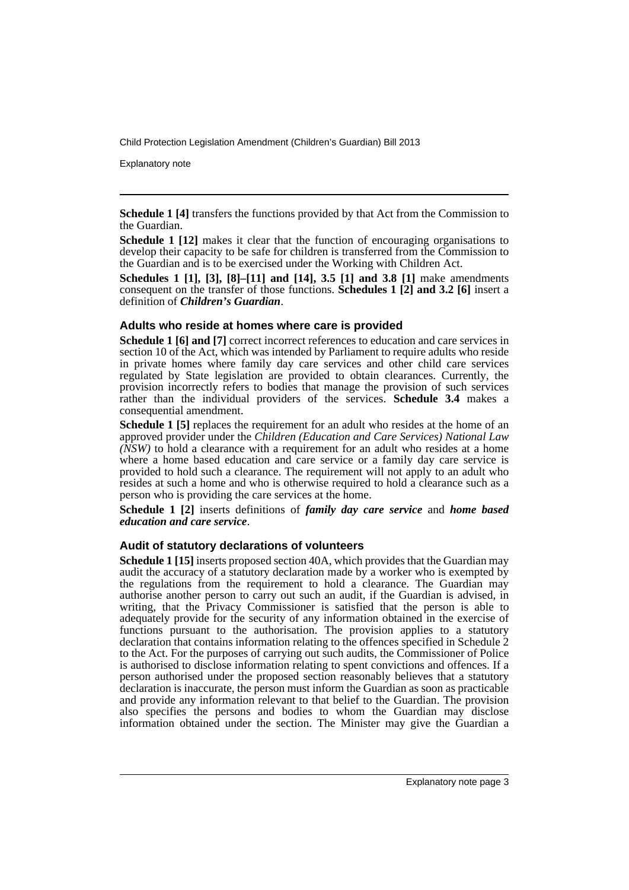Explanatory note

**Schedule 1 [4]** transfers the functions provided by that Act from the Commission to the Guardian.

**Schedule 1 [12]** makes it clear that the function of encouraging organisations to develop their capacity to be safe for children is transferred from the Commission to the Guardian and is to be exercised under the Working with Children Act.

**Schedules 1 [1], [3], [8]–[11] and [14], 3.5 [1] and 3.8 [1]** make amendments consequent on the transfer of those functions. **Schedules 1 [2] and 3.2 [6]** insert a definition of *Children's Guardian*.

#### **Adults who reside at homes where care is provided**

**Schedule 1 [6] and [7]** correct incorrect references to education and care services in section 10 of the Act, which was intended by Parliament to require adults who reside in private homes where family day care services and other child care services regulated by State legislation are provided to obtain clearances. Currently, the provision incorrectly refers to bodies that manage the provision of such services rather than the individual providers of the services. **Schedule 3.4** makes a consequential amendment.

**Schedule 1 [5]** replaces the requirement for an adult who resides at the home of an approved provider under the *Children (Education and Care Services) National Law*  $(NSW)$  to hold a clearance with a requirement for an adult who resides at a home where a home based education and care service or a family day care service is provided to hold such a clearance. The requirement will not apply to an adult who resides at such a home and who is otherwise required to hold a clearance such as a person who is providing the care services at the home.

**Schedule 1 [2]** inserts definitions of *family day care service* and *home based education and care service*.

#### **Audit of statutory declarations of volunteers**

**Schedule 1 [15]** inserts proposed section 40A, which provides that the Guardian may audit the accuracy of a statutory declaration made by a worker who is exempted by the regulations from the requirement to hold a clearance. The Guardian may authorise another person to carry out such an audit, if the Guardian is advised, in writing, that the Privacy Commissioner is satisfied that the person is able to adequately provide for the security of any information obtained in the exercise of functions pursuant to the authorisation. The provision applies to a statutory declaration that contains information relating to the offences specified in Schedule 2 to the Act. For the purposes of carrying out such audits, the Commissioner of Police is authorised to disclose information relating to spent convictions and offences. If a person authorised under the proposed section reasonably believes that a statutory declaration is inaccurate, the person must inform the Guardian as soon as practicable and provide any information relevant to that belief to the Guardian. The provision also specifies the persons and bodies to whom the Guardian may disclose information obtained under the section. The Minister may give the Guardian a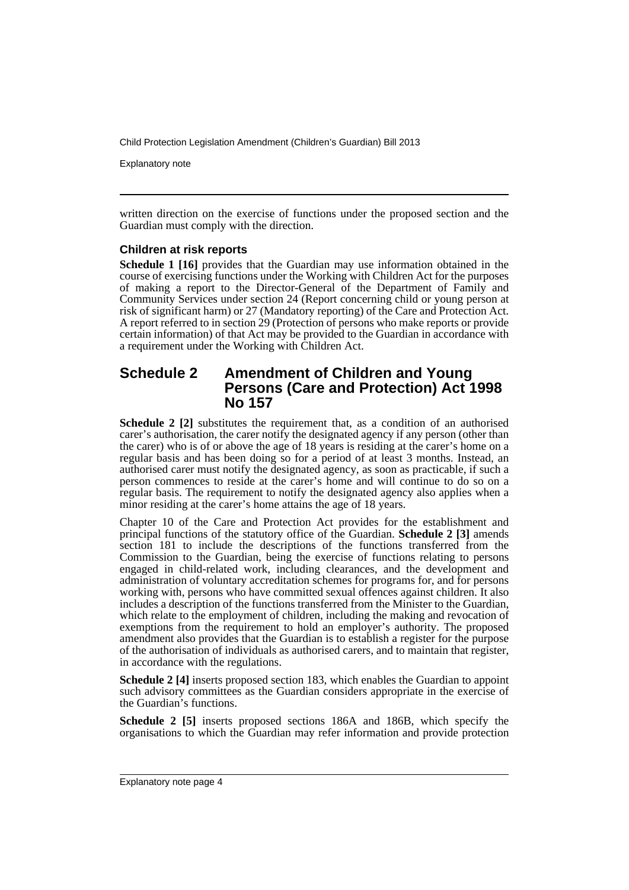Explanatory note

written direction on the exercise of functions under the proposed section and the Guardian must comply with the direction.

#### **Children at risk reports**

**Schedule 1 [16]** provides that the Guardian may use information obtained in the course of exercising functions under the Working with Children Act for the purposes of making a report to the Director-General of the Department of Family and Community Services under section 24 (Report concerning child or young person at risk of significant harm) or 27 (Mandatory reporting) of the Care and Protection Act. A report referred to in section 29 (Protection of persons who make reports or provide certain information) of that Act may be provided to the Guardian in accordance with a requirement under the Working with Children Act.

### **Schedule 2 Amendment of Children and Young Persons (Care and Protection) Act 1998 No 157**

**Schedule 2 [2]** substitutes the requirement that, as a condition of an authorised carer's authorisation, the carer notify the designated agency if any person (other than the carer) who is of or above the age of 18 years is residing at the carer's home on a regular basis and has been doing so for a period of at least 3 months. Instead, an authorised carer must notify the designated agency, as soon as practicable, if such a person commences to reside at the carer's home and will continue to do so on a regular basis. The requirement to notify the designated agency also applies when a minor residing at the carer's home attains the age of 18 years.

Chapter 10 of the Care and Protection Act provides for the establishment and principal functions of the statutory office of the Guardian. **Schedule 2 [3]** amends section 181 to include the descriptions of the functions transferred from the Commission to the Guardian, being the exercise of functions relating to persons engaged in child-related work, including clearances, and the development and administration of voluntary accreditation schemes for programs for, and for persons working with, persons who have committed sexual offences against children. It also includes a description of the functions transferred from the Minister to the Guardian, which relate to the employment of children, including the making and revocation of exemptions from the requirement to hold an employer's authority. The proposed amendment also provides that the Guardian is to establish a register for the purpose of the authorisation of individuals as authorised carers, and to maintain that register, in accordance with the regulations.

**Schedule 2 [4]** inserts proposed section 183, which enables the Guardian to appoint such advisory committees as the Guardian considers appropriate in the exercise of the Guardian's functions.

**Schedule 2 [5]** inserts proposed sections 186A and 186B, which specify the organisations to which the Guardian may refer information and provide protection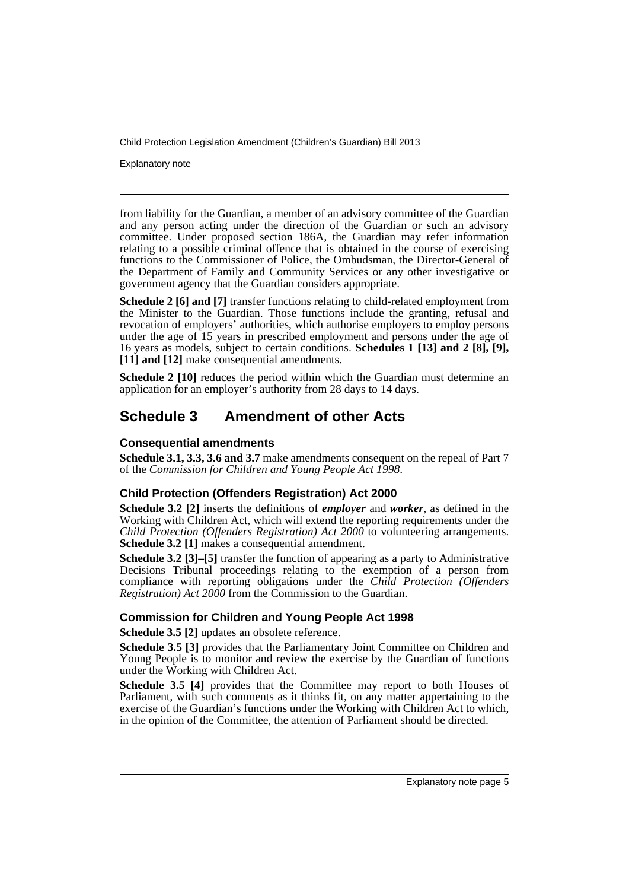Explanatory note

from liability for the Guardian, a member of an advisory committee of the Guardian and any person acting under the direction of the Guardian or such an advisory committee. Under proposed section 186A, the Guardian may refer information relating to a possible criminal offence that is obtained in the course of exercising functions to the Commissioner of Police, the Ombudsman, the Director-General of the Department of Family and Community Services or any other investigative or government agency that the Guardian considers appropriate.

**Schedule 2 [6] and [7]** transfer functions relating to child-related employment from the Minister to the Guardian. Those functions include the granting, refusal and revocation of employers' authorities, which authorise employers to employ persons under the age of 15 years in prescribed employment and persons under the age of 16 years as models, subject to certain conditions. **Schedules 1 [13] and 2 [8], [9], [11] and [12]** make consequential amendments.

**Schedule 2 [10]** reduces the period within which the Guardian must determine an application for an employer's authority from 28 days to 14 days.

# **Schedule 3 Amendment of other Acts**

### **Consequential amendments**

**Schedule 3.1, 3.3, 3.6 and 3.7** make amendments consequent on the repeal of Part 7 of the *Commission for Children and Young People Act 1998*.

### **Child Protection (Offenders Registration) Act 2000**

**Schedule 3.2 [2]** inserts the definitions of *employer* and *worker*, as defined in the Working with Children Act, which will extend the reporting requirements under the *Child Protection (Offenders Registration) Act 2000* to volunteering arrangements. **Schedule 3.2 [1]** makes a consequential amendment.

**Schedule 3.2 [3]–[5]** transfer the function of appearing as a party to Administrative Decisions Tribunal proceedings relating to the exemption of a person from compliance with reporting obligations under the *Child Protection (Offenders Registration) Act 2000* from the Commission to the Guardian.

### **Commission for Children and Young People Act 1998**

**Schedule 3.5 [2]** updates an obsolete reference.

**Schedule 3.5 [3]** provides that the Parliamentary Joint Committee on Children and Young People is to monitor and review the exercise by the Guardian of functions under the Working with Children Act.

**Schedule 3.5 [4]** provides that the Committee may report to both Houses of Parliament, with such comments as it thinks fit, on any matter appertaining to the exercise of the Guardian's functions under the Working with Children Act to which, in the opinion of the Committee, the attention of Parliament should be directed.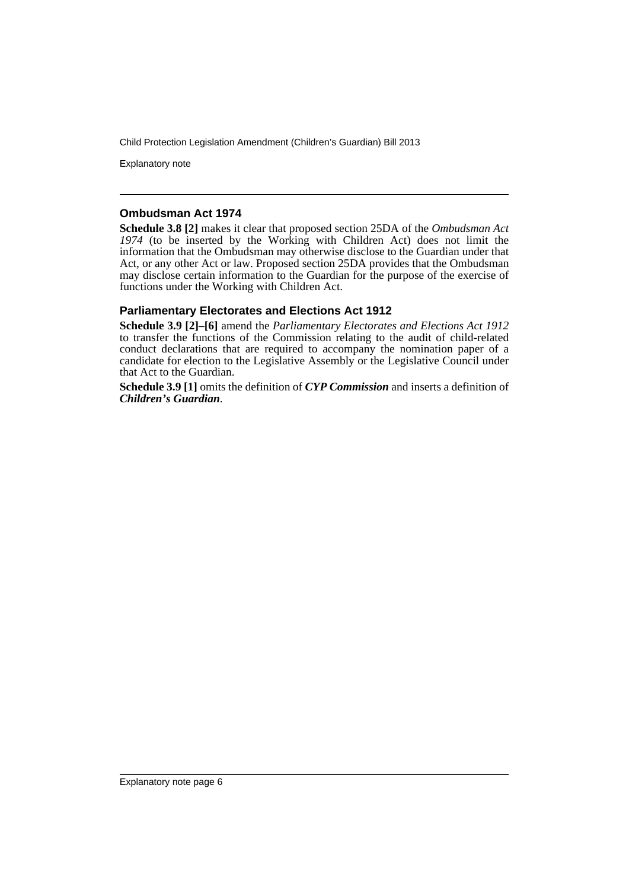Explanatory note

#### **Ombudsman Act 1974**

**Schedule 3.8 [2]** makes it clear that proposed section 25DA of the *Ombudsman Act 1974* (to be inserted by the Working with Children Act) does not limit the information that the Ombudsman may otherwise disclose to the Guardian under that Act, or any other Act or law. Proposed section 25DA provides that the Ombudsman may disclose certain information to the Guardian for the purpose of the exercise of functions under the Working with Children Act.

#### **Parliamentary Electorates and Elections Act 1912**

**Schedule 3.9 [2]–[6]** amend the *Parliamentary Electorates and Elections Act 1912* to transfer the functions of the Commission relating to the audit of child-related conduct declarations that are required to accompany the nomination paper of a candidate for election to the Legislative Assembly or the Legislative Council under that Act to the Guardian.

**Schedule 3.9 [1]** omits the definition of *CYP Commission* and inserts a definition of *Children's Guardian*.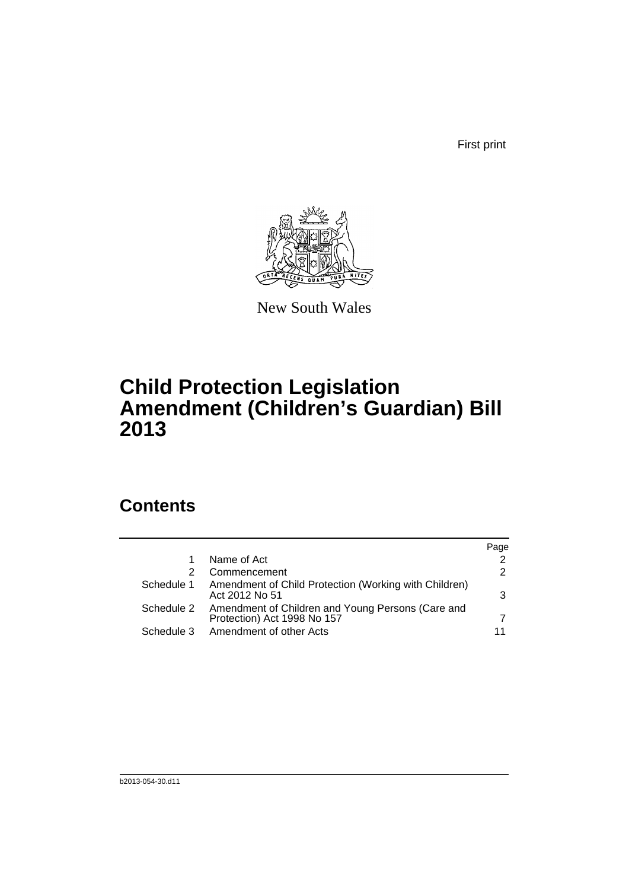First print



New South Wales

# **Child Protection Legislation Amendment (Children's Guardian) Bill 2013**

# **Contents**

|            |                                                                                  | Page          |
|------------|----------------------------------------------------------------------------------|---------------|
|            | Name of Act                                                                      | 2             |
|            | Commencement                                                                     | $\mathcal{P}$ |
| Schedule 1 | Amendment of Child Protection (Working with Children)<br>Act 2012 No 51          | 3             |
| Schedule 2 | Amendment of Children and Young Persons (Care and<br>Protection) Act 1998 No 157 |               |
| Schedule 3 | Amendment of other Acts                                                          | 11            |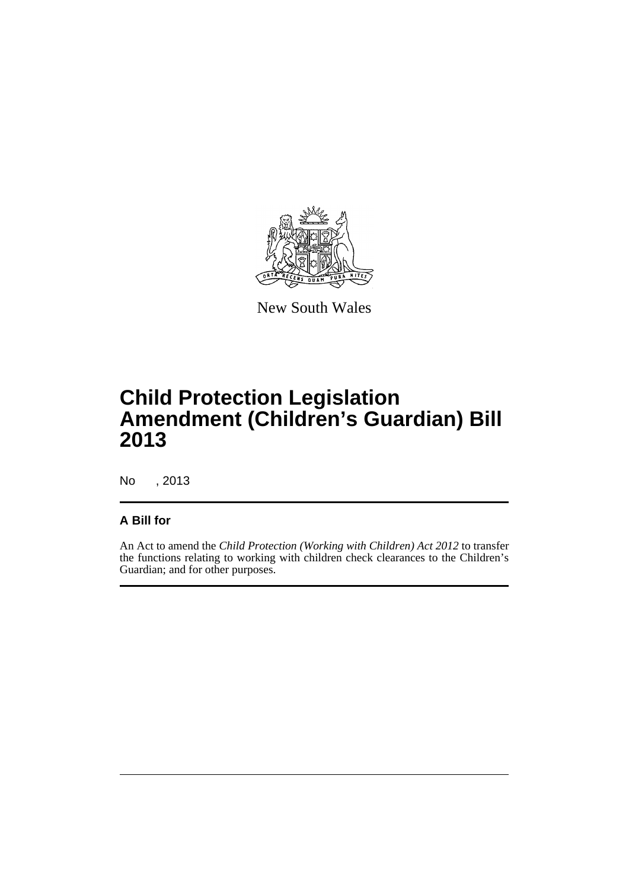

New South Wales

# **Child Protection Legislation Amendment (Children's Guardian) Bill 2013**

No , 2013

### **A Bill for**

An Act to amend the *Child Protection (Working with Children) Act 2012* to transfer the functions relating to working with children check clearances to the Children's Guardian; and for other purposes.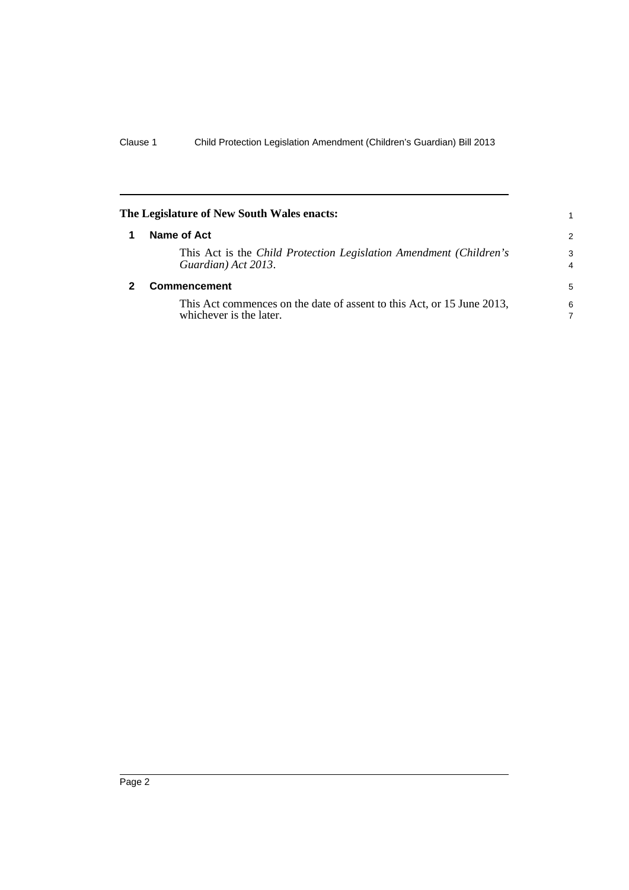<span id="page-9-1"></span><span id="page-9-0"></span>

| The Legislature of New South Wales enacts:                                                        | 1                   |
|---------------------------------------------------------------------------------------------------|---------------------|
| Name of Act                                                                                       | $\mathcal{P}$       |
| This Act is the Child Protection Legislation Amendment (Children's<br>Guardian) Act 2013.         | 3<br>$\overline{4}$ |
| Commencement                                                                                      | 5                   |
| This Act commences on the date of assent to this Act, or 15 June 2013,<br>whichever is the later. | 6<br>7              |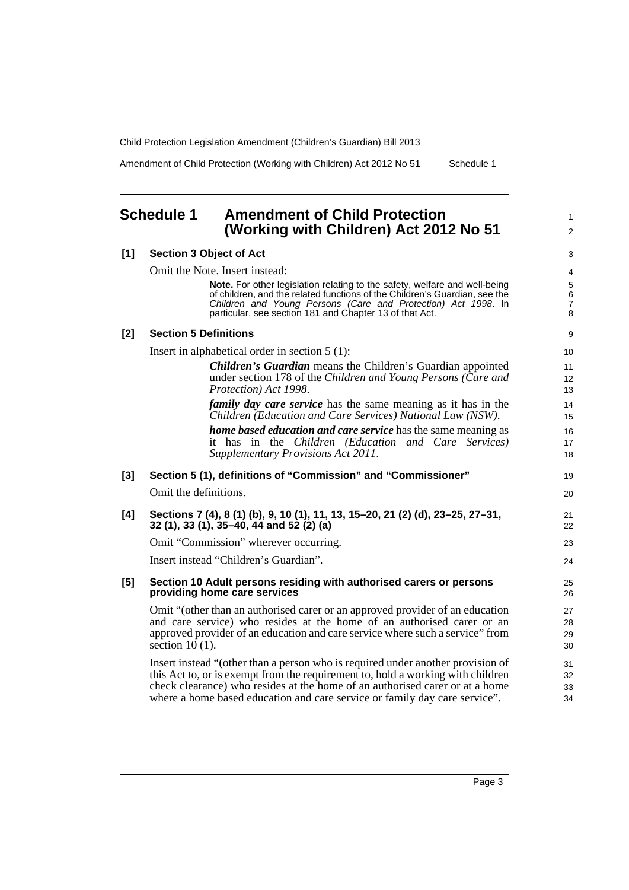Amendment of Child Protection (Working with Children) Act 2012 No 51 Schedule 1

1 2

# <span id="page-10-0"></span>**Schedule 1 Amendment of Child Protection (Working with Children) Act 2012 No 51**

| [1]   | <b>Section 3 Object of Act</b>                                                                                                                                                                                                                                                                                                   | 3                                             |
|-------|----------------------------------------------------------------------------------------------------------------------------------------------------------------------------------------------------------------------------------------------------------------------------------------------------------------------------------|-----------------------------------------------|
|       | Omit the Note. Insert instead:                                                                                                                                                                                                                                                                                                   | 4                                             |
|       | Note. For other legislation relating to the safety, welfare and well-being<br>of children, and the related functions of the Children's Guardian, see the<br>Children and Young Persons (Care and Protection) Act 1998. In<br>particular, see section 181 and Chapter 13 of that Act.                                             | $\mathbf 5$<br>$\,6\,$<br>$\overline{7}$<br>8 |
| $[2]$ | <b>Section 5 Definitions</b>                                                                                                                                                                                                                                                                                                     | 9                                             |
|       | Insert in alphabetical order in section $5(1)$ :                                                                                                                                                                                                                                                                                 | 10                                            |
|       | <b>Children's Guardian</b> means the Children's Guardian appointed<br>under section 178 of the Children and Young Persons (Care and<br>Protection) Act 1998.                                                                                                                                                                     | 11<br>12<br>13                                |
|       | <i>family day care service</i> has the same meaning as it has in the<br>Children (Education and Care Services) National Law (NSW).                                                                                                                                                                                               | 14<br>15                                      |
|       | <b>home based education and care service</b> has the same meaning as<br>it has in the Children (Education and Care Services)<br>Supplementary Provisions Act 2011.                                                                                                                                                               | 16<br>17<br>18                                |
| $[3]$ | Section 5 (1), definitions of "Commission" and "Commissioner"                                                                                                                                                                                                                                                                    | 19                                            |
|       | Omit the definitions.                                                                                                                                                                                                                                                                                                            | 20                                            |
| [4]   | Sections 7 (4), 8 (1) (b), 9, 10 (1), 11, 13, 15-20, 21 (2) (d), 23-25, 27-31,<br>32 (1), 33 (1), 35–40, 44 and 52 (2) (a)                                                                                                                                                                                                       | 21<br>22                                      |
|       | Omit "Commission" wherever occurring.                                                                                                                                                                                                                                                                                            | 23                                            |
|       | Insert instead "Children's Guardian".                                                                                                                                                                                                                                                                                            | 24                                            |
| $[5]$ | Section 10 Adult persons residing with authorised carers or persons<br>providing home care services                                                                                                                                                                                                                              | 25<br>26                                      |
|       | Omit "(other than an authorised carer or an approved provider of an education<br>and care service) who resides at the home of an authorised carer or an<br>approved provider of an education and care service where such a service" from<br>section $10(1)$ .                                                                    | 27<br>28<br>29<br>30                          |
|       | Insert instead "(other than a person who is required under another provision of<br>this Act to, or is exempt from the requirement to, hold a working with children<br>check clearance) who resides at the home of an authorised carer or at a home<br>where a home based education and care service or family day care service". | 31<br>32<br>33<br>34                          |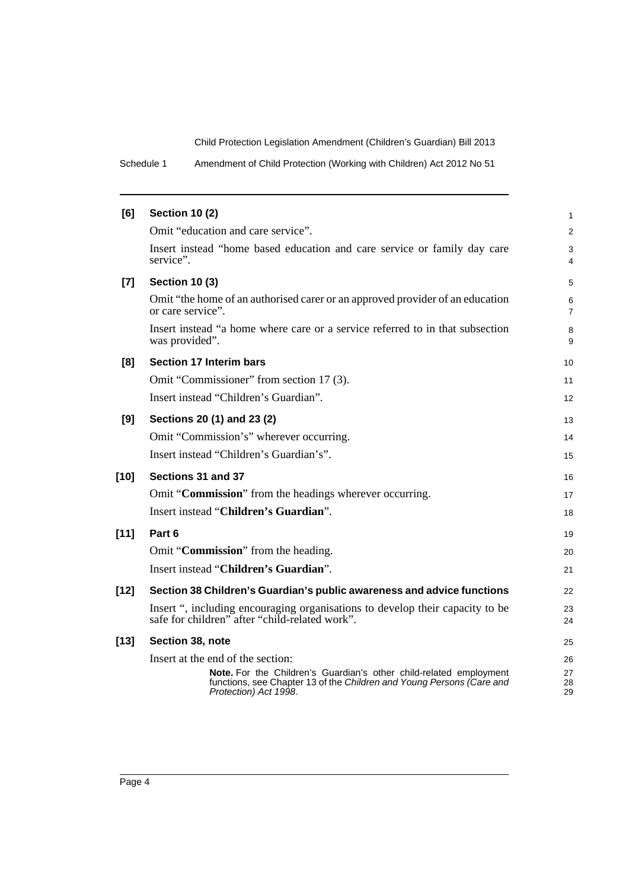Schedule 1 Amendment of Child Protection (Working with Children) Act 2012 No 51

| [6]    | <b>Section 10 (2)</b>                                                                                                                                                | $\mathbf{1}$        |
|--------|----------------------------------------------------------------------------------------------------------------------------------------------------------------------|---------------------|
|        | Omit "education and care service".                                                                                                                                   | 2                   |
|        | Insert instead "home based education and care service or family day care<br>service".                                                                                | 3<br>4              |
| $[7]$  | <b>Section 10 (3)</b>                                                                                                                                                | 5                   |
|        | Omit "the home of an authorised carer or an approved provider of an education<br>or care service".                                                                   | 6<br>$\overline{7}$ |
|        | Insert instead "a home where care or a service referred to in that subsection<br>was provided".                                                                      | 8<br>9              |
| [8]    | <b>Section 17 Interim bars</b>                                                                                                                                       | 10                  |
|        | Omit "Commissioner" from section 17 (3).                                                                                                                             | 11                  |
|        | Insert instead "Children's Guardian".                                                                                                                                | 12                  |
| [9]    | Sections 20 (1) and 23 (2)                                                                                                                                           | 13                  |
|        | Omit "Commission's" wherever occurring.                                                                                                                              | 14                  |
|        | Insert instead "Children's Guardian's".                                                                                                                              | 15                  |
| [10]   | Sections 31 and 37                                                                                                                                                   | 16                  |
|        | Omit "Commission" from the headings wherever occurring.                                                                                                              | 17                  |
|        | Insert instead "Children's Guardian".                                                                                                                                | 18                  |
| [11]   | Part 6                                                                                                                                                               | 19                  |
|        | Omit "Commission" from the heading.                                                                                                                                  | 20                  |
|        | Insert instead "Children's Guardian".                                                                                                                                | 21                  |
| $[12]$ | Section 38 Children's Guardian's public awareness and advice functions                                                                                               | 22                  |
|        | Insert ", including encouraging organisations to develop their capacity to be<br>safe for children" after "child-related work".                                      | 23<br>24            |
| $[13]$ | Section 38, note                                                                                                                                                     | 25                  |
|        | Insert at the end of the section:                                                                                                                                    | 26                  |
|        | Note. For the Children's Guardian's other child-related employment<br>functions, see Chapter 13 of the Children and Young Persons (Care and<br>Protection) Act 1998. | 27<br>28<br>29      |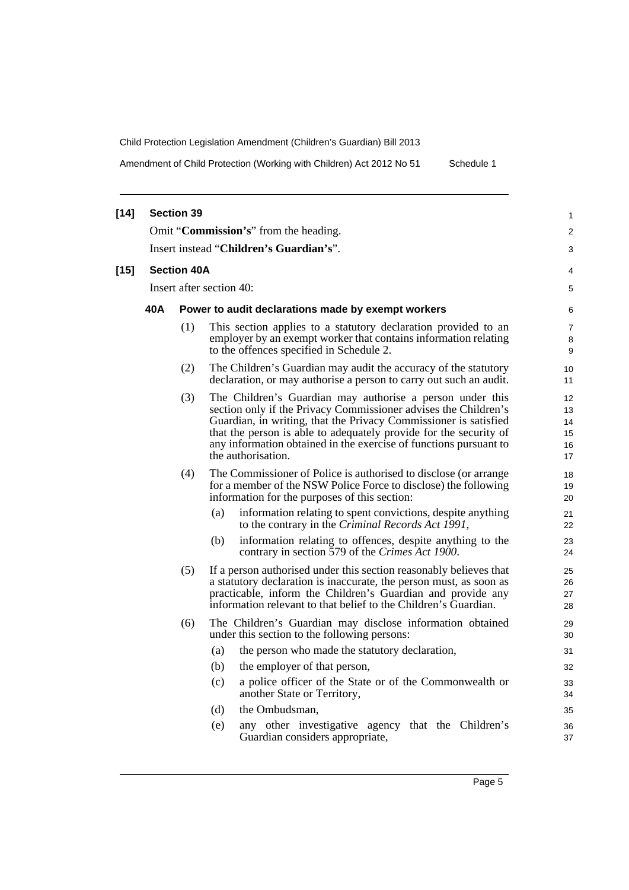Amendment of Child Protection (Working with Children) Act 2012 No 51 Schedule 1

| $[14]$ |                                                                                                                                                                                                                                                                                                                                                                                                                                                                                                                                                                        | <b>Section 39</b>                       |                                                                                                                                                                               | 1                        |  |  |  |
|--------|------------------------------------------------------------------------------------------------------------------------------------------------------------------------------------------------------------------------------------------------------------------------------------------------------------------------------------------------------------------------------------------------------------------------------------------------------------------------------------------------------------------------------------------------------------------------|-----------------------------------------|-------------------------------------------------------------------------------------------------------------------------------------------------------------------------------|--------------------------|--|--|--|
|        |                                                                                                                                                                                                                                                                                                                                                                                                                                                                                                                                                                        |                                         | Omit "Commission's" from the heading.                                                                                                                                         | 2                        |  |  |  |
|        |                                                                                                                                                                                                                                                                                                                                                                                                                                                                                                                                                                        | Insert instead "Children's Guardian's". |                                                                                                                                                                               |                          |  |  |  |
| $[15]$ | <b>Section 40A</b>                                                                                                                                                                                                                                                                                                                                                                                                                                                                                                                                                     |                                         |                                                                                                                                                                               |                          |  |  |  |
|        | Insert after section 40:<br>40A<br>Power to audit declarations made by exempt workers                                                                                                                                                                                                                                                                                                                                                                                                                                                                                  |                                         |                                                                                                                                                                               |                          |  |  |  |
|        |                                                                                                                                                                                                                                                                                                                                                                                                                                                                                                                                                                        |                                         |                                                                                                                                                                               |                          |  |  |  |
|        |                                                                                                                                                                                                                                                                                                                                                                                                                                                                                                                                                                        | (1)                                     | This section applies to a statutory declaration provided to an<br>employer by an exempt worker that contains information relating<br>to the offences specified in Schedule 2. | $\overline{7}$<br>8<br>9 |  |  |  |
|        |                                                                                                                                                                                                                                                                                                                                                                                                                                                                                                                                                                        | (2)                                     | The Children's Guardian may audit the accuracy of the statutory<br>declaration, or may authorise a person to carry out such an audit.                                         | 10<br>11                 |  |  |  |
|        | The Children's Guardian may authorise a person under this<br>(3)<br>section only if the Privacy Commissioner advises the Children's<br>Guardian, in writing, that the Privacy Commissioner is satisfied<br>that the person is able to adequately provide for the security of<br>any information obtained in the exercise of functions pursuant to<br>the authorisation.<br>(4)<br>The Commissioner of Police is authorised to disclose (or arrange<br>for a member of the NSW Police Force to disclose) the following<br>information for the purposes of this section: |                                         |                                                                                                                                                                               |                          |  |  |  |
|        |                                                                                                                                                                                                                                                                                                                                                                                                                                                                                                                                                                        |                                         |                                                                                                                                                                               |                          |  |  |  |
|        | information relating to spent convictions, despite anything<br>(a)<br>to the contrary in the Criminal Records Act 1991,                                                                                                                                                                                                                                                                                                                                                                                                                                                |                                         | 21<br>22                                                                                                                                                                      |                          |  |  |  |
|        | (b)<br>information relating to offences, despite anything to the<br>contrary in section 579 of the Crimes Act 1900.<br>(5)<br>If a person authorised under this section reasonably believes that<br>a statutory declaration is inaccurate, the person must, as soon as<br>practicable, inform the Children's Guardian and provide any<br>information relevant to that belief to the Children's Guardian.                                                                                                                                                               |                                         |                                                                                                                                                                               |                          |  |  |  |
|        |                                                                                                                                                                                                                                                                                                                                                                                                                                                                                                                                                                        |                                         |                                                                                                                                                                               |                          |  |  |  |
|        |                                                                                                                                                                                                                                                                                                                                                                                                                                                                                                                                                                        | (6)                                     | The Children's Guardian may disclose information obtained<br>under this section to the following persons:                                                                     | 29<br>30                 |  |  |  |
|        | (a)<br>the person who made the statutory declaration,<br>(b)<br>the employer of that person,                                                                                                                                                                                                                                                                                                                                                                                                                                                                           |                                         |                                                                                                                                                                               | 31                       |  |  |  |
|        |                                                                                                                                                                                                                                                                                                                                                                                                                                                                                                                                                                        |                                         |                                                                                                                                                                               | 32                       |  |  |  |
|        | (c)<br>a police officer of the State or of the Commonwealth or<br>another State or Territory,                                                                                                                                                                                                                                                                                                                                                                                                                                                                          |                                         |                                                                                                                                                                               |                          |  |  |  |
|        |                                                                                                                                                                                                                                                                                                                                                                                                                                                                                                                                                                        |                                         | (d)<br>the Ombudsman,                                                                                                                                                         | 35                       |  |  |  |
|        | (e)<br>any other investigative agency that the Children's<br>Guardian considers appropriate,                                                                                                                                                                                                                                                                                                                                                                                                                                                                           |                                         |                                                                                                                                                                               |                          |  |  |  |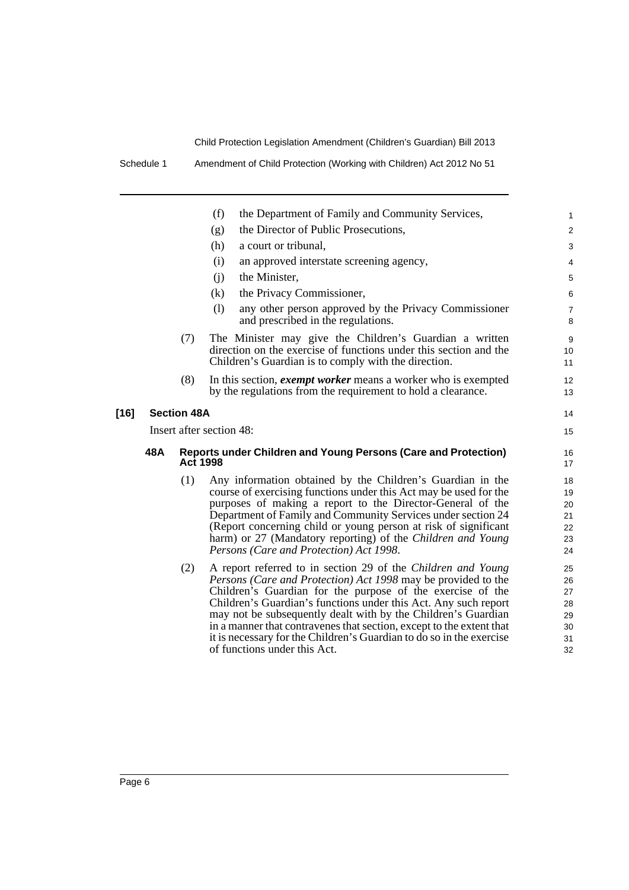Schedule 1 Amendment of Child Protection (Working with Children) Act 2012 No 51

|        |                          |                    | (f)<br>the Department of Family and Community Services,                                                                                                                                                                                                                                                                                                                                                                                                                                                         | 1                                            |
|--------|--------------------------|--------------------|-----------------------------------------------------------------------------------------------------------------------------------------------------------------------------------------------------------------------------------------------------------------------------------------------------------------------------------------------------------------------------------------------------------------------------------------------------------------------------------------------------------------|----------------------------------------------|
|        |                          |                    | the Director of Public Prosecutions,<br>(g)                                                                                                                                                                                                                                                                                                                                                                                                                                                                     | $\overline{c}$                               |
|        |                          |                    | (h)<br>a court or tribunal,                                                                                                                                                                                                                                                                                                                                                                                                                                                                                     | 3                                            |
|        |                          |                    | (i)<br>an approved interstate screening agency,                                                                                                                                                                                                                                                                                                                                                                                                                                                                 | 4                                            |
|        |                          |                    | the Minister,<br>(i)                                                                                                                                                                                                                                                                                                                                                                                                                                                                                            | 5                                            |
|        |                          |                    | (k)<br>the Privacy Commissioner,                                                                                                                                                                                                                                                                                                                                                                                                                                                                                | 6                                            |
|        |                          |                    | (1)<br>any other person approved by the Privacy Commissioner<br>and prescribed in the regulations.                                                                                                                                                                                                                                                                                                                                                                                                              | 7<br>8                                       |
|        |                          | (7)                | The Minister may give the Children's Guardian a written<br>direction on the exercise of functions under this section and the<br>Children's Guardian is to comply with the direction.                                                                                                                                                                                                                                                                                                                            | 9<br>10<br>11                                |
|        |                          | (8)                | In this section, <i>exempt worker</i> means a worker who is exempted<br>by the regulations from the requirement to hold a clearance.                                                                                                                                                                                                                                                                                                                                                                            | 12<br>13                                     |
| $[16]$ |                          | <b>Section 48A</b> |                                                                                                                                                                                                                                                                                                                                                                                                                                                                                                                 | 14                                           |
|        | Insert after section 48: |                    |                                                                                                                                                                                                                                                                                                                                                                                                                                                                                                                 |                                              |
|        |                          |                    |                                                                                                                                                                                                                                                                                                                                                                                                                                                                                                                 |                                              |
|        | 48A                      | <b>Act 1998</b>    | Reports under Children and Young Persons (Care and Protection)                                                                                                                                                                                                                                                                                                                                                                                                                                                  | 16<br>17                                     |
|        |                          | (1)                | Any information obtained by the Children's Guardian in the<br>course of exercising functions under this Act may be used for the<br>purposes of making a report to the Director-General of the<br>Department of Family and Community Services under section 24<br>(Report concerning child or young person at risk of significant<br>harm) or 27 (Mandatory reporting) of the Children and Young<br>Persons (Care and Protection) Act 1998.                                                                      | 18<br>19<br>20<br>21<br>22<br>23<br>24       |
|        |                          | (2)                | A report referred to in section 29 of the Children and Young<br>Persons (Care and Protection) Act 1998 may be provided to the<br>Children's Guardian for the purpose of the exercise of the<br>Children's Guardian's functions under this Act. Any such report<br>may not be subsequently dealt with by the Children's Guardian<br>in a manner that contravenes that section, except to the extent that<br>it is necessary for the Children's Guardian to do so in the exercise<br>of functions under this Act. | 25<br>26<br>27<br>28<br>29<br>30<br>31<br>32 |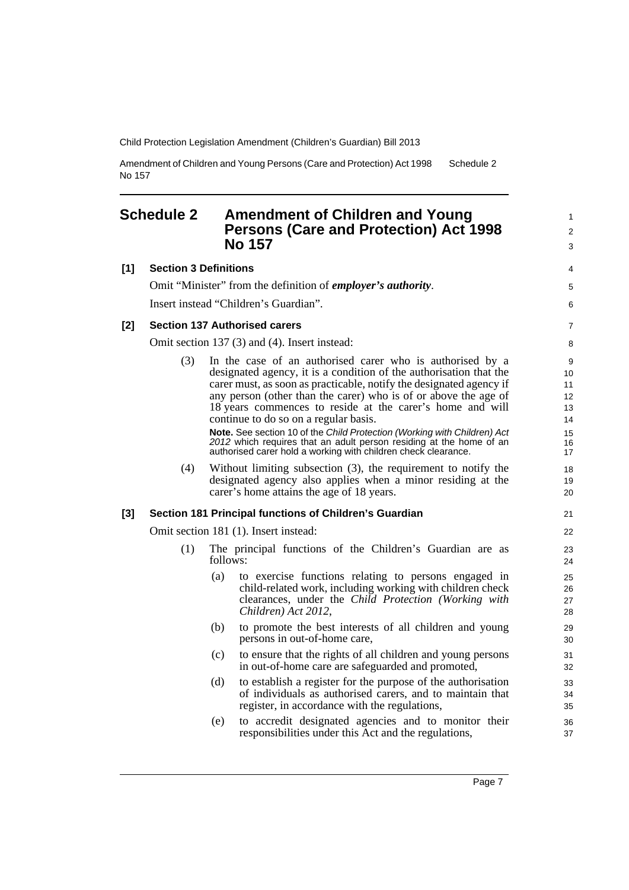Amendment of Children and Young Persons (Care and Protection) Act 1998 No 157 Schedule 2

### <span id="page-14-0"></span>**Schedule 2 Amendment of Children and Young Persons (Care and Protection) Act 1998 No 157**

| [1]   | <b>Section 3 Definitions</b>                  |                                                                                                                                                                                                                                                                                                                                                                                                                                                                                                                                                                                                      | 4                                                     |  |
|-------|-----------------------------------------------|------------------------------------------------------------------------------------------------------------------------------------------------------------------------------------------------------------------------------------------------------------------------------------------------------------------------------------------------------------------------------------------------------------------------------------------------------------------------------------------------------------------------------------------------------------------------------------------------------|-------------------------------------------------------|--|
|       |                                               | Omit "Minister" from the definition of <i>employer's authority</i> .                                                                                                                                                                                                                                                                                                                                                                                                                                                                                                                                 | 5                                                     |  |
|       |                                               | Insert instead "Children's Guardian".                                                                                                                                                                                                                                                                                                                                                                                                                                                                                                                                                                | 6                                                     |  |
| $[2]$ |                                               | <b>Section 137 Authorised carers</b>                                                                                                                                                                                                                                                                                                                                                                                                                                                                                                                                                                 | $\overline{7}$                                        |  |
|       | Omit section 137 (3) and (4). Insert instead: |                                                                                                                                                                                                                                                                                                                                                                                                                                                                                                                                                                                                      |                                                       |  |
|       | (3)                                           | In the case of an authorised carer who is authorised by a<br>designated agency, it is a condition of the authorisation that the<br>carer must, as soon as practicable, notify the designated agency if<br>any person (other than the carer) who is of or above the age of<br>18 years commences to reside at the carer's home and will<br>continue to do so on a regular basis.<br>Note. See section 10 of the Child Protection (Working with Children) Act<br>2012 which requires that an adult person residing at the home of an<br>authorised carer hold a working with children check clearance. | $9\,$<br>10<br>11<br>12<br>13<br>14<br>15<br>16<br>17 |  |
|       | (4)                                           | Without limiting subsection $(3)$ , the requirement to notify the<br>designated agency also applies when a minor residing at the<br>carer's home attains the age of 18 years.                                                                                                                                                                                                                                                                                                                                                                                                                        | 18<br>19<br>20                                        |  |
| [3]   |                                               | Section 181 Principal functions of Children's Guardian                                                                                                                                                                                                                                                                                                                                                                                                                                                                                                                                               | 21                                                    |  |
|       |                                               | Omit section 181 (1). Insert instead:                                                                                                                                                                                                                                                                                                                                                                                                                                                                                                                                                                | 22                                                    |  |
|       | (1)                                           | The principal functions of the Children's Guardian are as<br>follows:                                                                                                                                                                                                                                                                                                                                                                                                                                                                                                                                | 23<br>24                                              |  |
|       |                                               | (a)<br>to exercise functions relating to persons engaged in<br>child-related work, including working with children check<br>clearances, under the Child Protection (Working with<br>Children) Act 2012,                                                                                                                                                                                                                                                                                                                                                                                              | 25<br>26<br>27<br>28                                  |  |
|       |                                               | to promote the best interests of all children and young<br>(b)<br>persons in out-of-home care,                                                                                                                                                                                                                                                                                                                                                                                                                                                                                                       | 29<br>30                                              |  |
|       |                                               | to ensure that the rights of all children and young persons<br>(c)<br>in out-of-home care are safeguarded and promoted,                                                                                                                                                                                                                                                                                                                                                                                                                                                                              | 31<br>32                                              |  |
|       |                                               | to establish a register for the purpose of the authorisation<br>(d)<br>of individuals as authorised carers, and to maintain that<br>register, in accordance with the regulations,                                                                                                                                                                                                                                                                                                                                                                                                                    | 33<br>34<br>35                                        |  |
|       |                                               | to accredit designated agencies and to monitor their<br>(e)<br>responsibilities under this Act and the regulations,                                                                                                                                                                                                                                                                                                                                                                                                                                                                                  | 36<br>37                                              |  |

1 2 3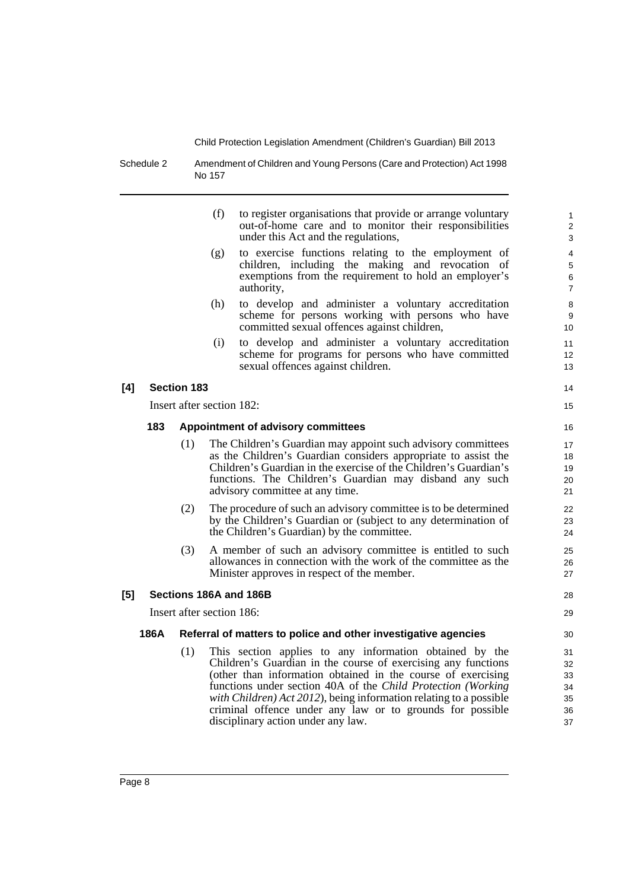Schedule 2 Amendment of Children and Young Persons (Care and Protection) Act 1998 No 157

| (f) | to register organisations that provide or arrange voluntary |
|-----|-------------------------------------------------------------|
|     | out-of-home care and to monitor their responsibilities      |
|     | under this Act and the regulations,                         |
|     |                                                             |

- (g) to exercise functions relating to the employment of children, including the making and revocation of exemptions from the requirement to hold an employer's authority,
- (h) to develop and administer a voluntary accreditation scheme for persons working with persons who have committed sexual offences against children,
- (i) to develop and administer a voluntary accreditation scheme for programs for persons who have committed sexual offences against children.

#### **[4] Section 183**

Insert after section 182:

#### **183 Appointment of advisory committees**

- (1) The Children's Guardian may appoint such advisory committees as the Children's Guardian considers appropriate to assist the Children's Guardian in the exercise of the Children's Guardian's functions. The Children's Guardian may disband any such advisory committee at any time.
- (2) The procedure of such an advisory committee is to be determined by the Children's Guardian or (subject to any determination of the Children's Guardian) by the committee.
- (3) A member of such an advisory committee is entitled to such allowances in connection with the work of the committee as the Minister approves in respect of the member.

#### **[5] Sections 186A and 186B**

Insert after section 186:

#### **186A Referral of matters to police and other investigative agencies**

(1) This section applies to any information obtained by the Children's Guardian in the course of exercising any functions (other than information obtained in the course of exercising functions under section 40A of the *Child Protection (Working with Children) Act 2012*), being information relating to a possible criminal offence under any law or to grounds for possible disciplinary action under any law.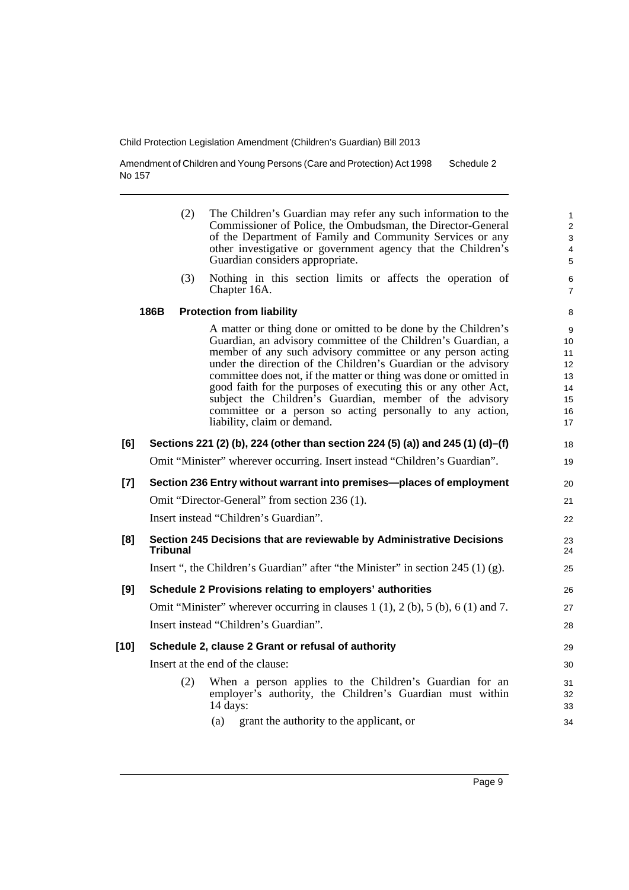Amendment of Children and Young Persons (Care and Protection) Act 1998 No 157 Schedule 2

|       |                 | (2) | The Children's Guardian may refer any such information to the<br>Commissioner of Police, the Ombudsman, the Director-General<br>of the Department of Family and Community Services or any<br>other investigative or government agency that the Children's<br>Guardian considers appropriate.                                                                                                                                                                                                                                                                   | $\mathbf{1}$<br>2<br>3<br>4<br>5                  |
|-------|-----------------|-----|----------------------------------------------------------------------------------------------------------------------------------------------------------------------------------------------------------------------------------------------------------------------------------------------------------------------------------------------------------------------------------------------------------------------------------------------------------------------------------------------------------------------------------------------------------------|---------------------------------------------------|
|       |                 | (3) | Nothing in this section limits or affects the operation of<br>Chapter 16A.                                                                                                                                                                                                                                                                                                                                                                                                                                                                                     | $\,6\,$<br>$\overline{7}$                         |
|       | 186B            |     | <b>Protection from liability</b>                                                                                                                                                                                                                                                                                                                                                                                                                                                                                                                               | 8                                                 |
|       |                 |     | A matter or thing done or omitted to be done by the Children's<br>Guardian, an advisory committee of the Children's Guardian, a<br>member of any such advisory committee or any person acting<br>under the direction of the Children's Guardian or the advisory<br>committee does not, if the matter or thing was done or omitted in<br>good faith for the purposes of executing this or any other Act,<br>subject the Children's Guardian, member of the advisory<br>committee or a person so acting personally to any action,<br>liability, claim or demand. | 9<br>10<br>11<br>12<br>13<br>14<br>15<br>16<br>17 |
| [6]   |                 |     | Sections 221 (2) (b), 224 (other than section 224 (5) (a)) and 245 (1) (d)–(f)                                                                                                                                                                                                                                                                                                                                                                                                                                                                                 | 18                                                |
|       |                 |     | Omit "Minister" wherever occurring. Insert instead "Children's Guardian".                                                                                                                                                                                                                                                                                                                                                                                                                                                                                      | 19                                                |
| $[7]$ |                 |     | Section 236 Entry without warrant into premises-places of employment                                                                                                                                                                                                                                                                                                                                                                                                                                                                                           | 20                                                |
|       |                 |     | Omit "Director-General" from section 236 (1).                                                                                                                                                                                                                                                                                                                                                                                                                                                                                                                  | 21                                                |
|       |                 |     | Insert instead "Children's Guardian".                                                                                                                                                                                                                                                                                                                                                                                                                                                                                                                          | 22                                                |
| [8]   | <b>Tribunal</b> |     | Section 245 Decisions that are reviewable by Administrative Decisions                                                                                                                                                                                                                                                                                                                                                                                                                                                                                          | 23<br>24                                          |
|       |                 |     | Insert ", the Children's Guardian" after "the Minister" in section $245(1)(g)$ .                                                                                                                                                                                                                                                                                                                                                                                                                                                                               | 25                                                |
| [9]   |                 |     | Schedule 2 Provisions relating to employers' authorities                                                                                                                                                                                                                                                                                                                                                                                                                                                                                                       | 26                                                |
|       |                 |     | Omit "Minister" wherever occurring in clauses $1(1)$ , $2(b)$ , $5(b)$ , $6(1)$ and $7$ .                                                                                                                                                                                                                                                                                                                                                                                                                                                                      | 27                                                |
|       |                 |     | Insert instead "Children's Guardian".                                                                                                                                                                                                                                                                                                                                                                                                                                                                                                                          | 28                                                |
| [10]  |                 |     | Schedule 2, clause 2 Grant or refusal of authority                                                                                                                                                                                                                                                                                                                                                                                                                                                                                                             | 29                                                |
|       |                 |     | Insert at the end of the clause:                                                                                                                                                                                                                                                                                                                                                                                                                                                                                                                               | 30                                                |
|       |                 | (2) | When a person applies to the Children's Guardian for an<br>employer's authority, the Children's Guardian must within<br>14 days:                                                                                                                                                                                                                                                                                                                                                                                                                               | 31<br>32<br>33                                    |

(a) grant the authority to the applicant, or

34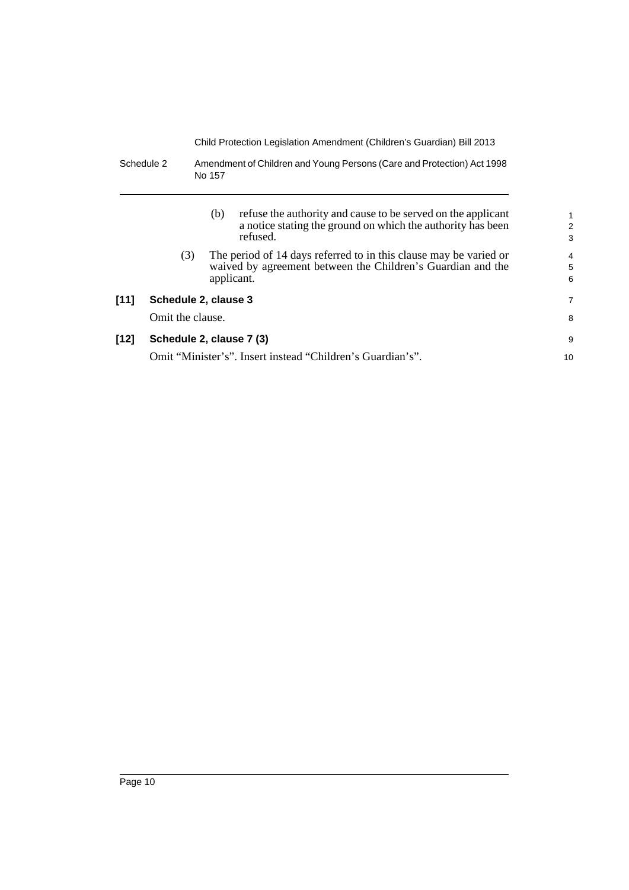Schedule 2 Amendment of Children and Young Persons (Care and Protection) Act 1998 No 157

|        |                          | (b)        | refuse the authority and cause to be served on the applicant<br>a notice stating the ground on which the authority has been<br>refused. | $\mathbf{1}$<br>2<br>3 |
|--------|--------------------------|------------|-----------------------------------------------------------------------------------------------------------------------------------------|------------------------|
|        | (3)                      |            | The period of 14 days referred to in this clause may be varied or<br>waived by agreement between the Children's Guardian and the        | $\overline{4}$<br>5    |
|        |                          | applicant. |                                                                                                                                         | 6                      |
| [11]   | Schedule 2, clause 3     |            |                                                                                                                                         | 7                      |
|        | Omit the clause.         |            |                                                                                                                                         | 8                      |
| $[12]$ | Schedule 2, clause 7 (3) |            |                                                                                                                                         | 9                      |
|        |                          |            | Omit "Minister's". Insert instead "Children's Guardian's".                                                                              | 10                     |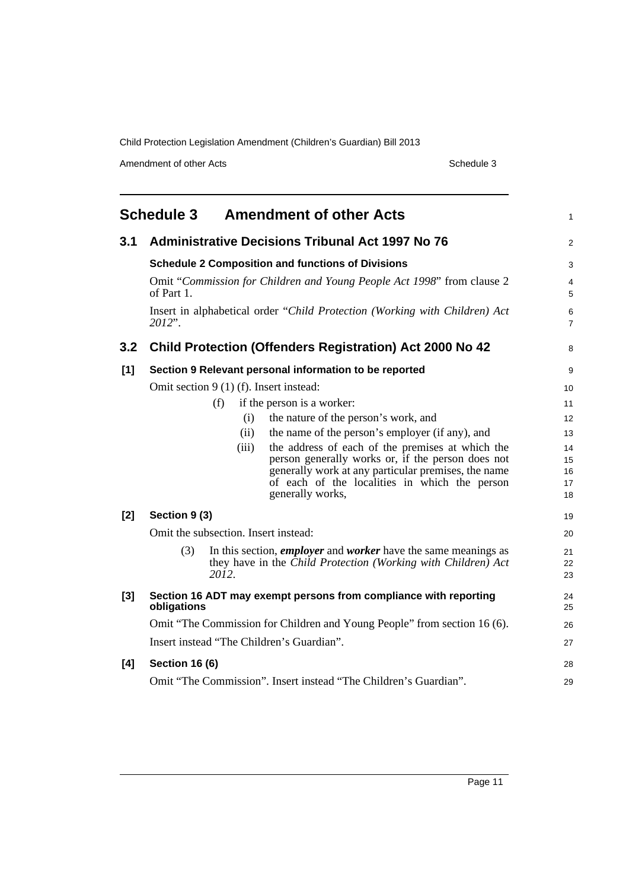Amendment of other Acts Schedule 3

<span id="page-18-0"></span>

|       | <b>Schedule 3</b>     | <b>Amendment of other Acts</b>                                                                       | 1              |
|-------|-----------------------|------------------------------------------------------------------------------------------------------|----------------|
| 3.1   |                       | <b>Administrative Decisions Tribunal Act 1997 No 76</b>                                              | $\overline{c}$ |
|       |                       | <b>Schedule 2 Composition and functions of Divisions</b>                                             | 3              |
|       | of Part 1.            | Omit "Commission for Children and Young People Act 1998" from clause 2                               | 4<br>5         |
|       | 2012".                | Insert in alphabetical order "Child Protection (Working with Children) Act                           | 6<br>7         |
| 3.2   |                       | <b>Child Protection (Offenders Registration) Act 2000 No 42</b>                                      | 8              |
| [1]   |                       | Section 9 Relevant personal information to be reported                                               | 9              |
|       |                       | Omit section $9(1)$ (f). Insert instead:                                                             | 10             |
|       |                       | if the person is a worker:<br>(f)                                                                    | 11             |
|       |                       | the nature of the person's work, and<br>(i)                                                          | 12             |
|       |                       | the name of the person's employer (if any), and<br>(ii)                                              | 13             |
|       |                       | the address of each of the premises at which the<br>(iii)                                            | 14             |
|       |                       | person generally works or, if the person does not                                                    | 15             |
|       |                       | generally work at any particular premises, the name<br>of each of the localities in which the person | 16<br>17       |
|       |                       | generally works,                                                                                     | 18             |
| $[2]$ | Section 9 (3)         |                                                                                                      | 19             |
|       |                       | Omit the subsection. Insert instead:                                                                 | 20             |
|       | (3)                   | In this section, <i>employer</i> and <i>worker</i> have the same meanings as                         | 21             |
|       |                       | they have in the Child Protection (Working with Children) Act<br>2012.                               | 22<br>23       |
| $[3]$ | obligations           | Section 16 ADT may exempt persons from compliance with reporting                                     | 24<br>25       |
|       |                       | Omit "The Commission for Children and Young People" from section 16 (6).                             | 26             |
|       |                       | Insert instead "The Children's Guardian".                                                            | 27             |
| [4]   | <b>Section 16 (6)</b> |                                                                                                      | 28             |
|       |                       | Omit "The Commission". Insert instead "The Children's Guardian".                                     | 29             |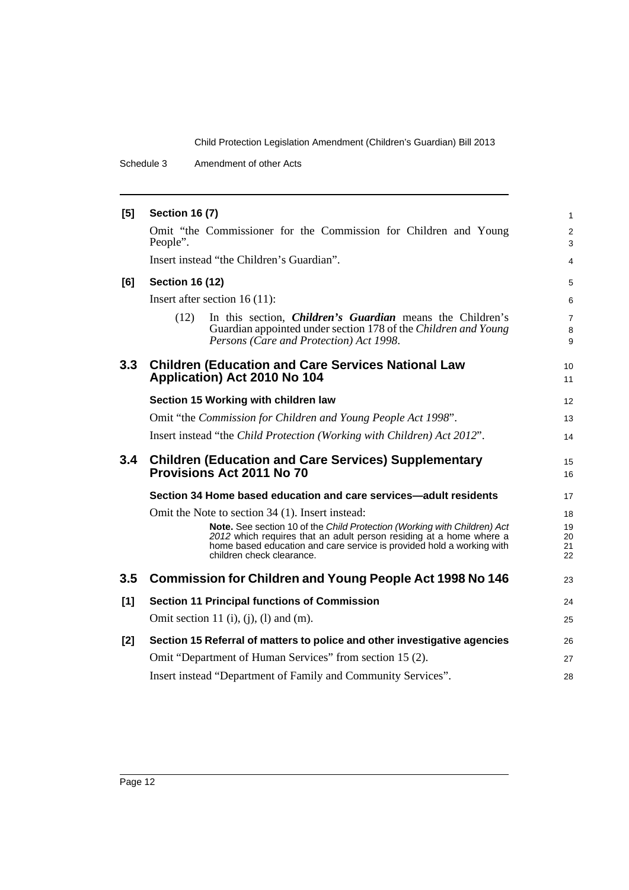Schedule 3 Amendment of other Acts

| [5]   | <b>Section 16 (7)</b>                                                                                                                                                                                                                                 | $\mathbf{1}$             |
|-------|-------------------------------------------------------------------------------------------------------------------------------------------------------------------------------------------------------------------------------------------------------|--------------------------|
|       | Omit "the Commissioner for the Commission for Children and Young<br>People".                                                                                                                                                                          | $\overline{2}$<br>3      |
|       | Insert instead "the Children's Guardian".                                                                                                                                                                                                             | $\overline{4}$           |
| [6]   | <b>Section 16 (12)</b>                                                                                                                                                                                                                                | 5                        |
|       | Insert after section $16(11)$ :                                                                                                                                                                                                                       | 6                        |
|       | In this section, <i>Children's Guardian</i> means the Children's<br>(12)<br>Guardian appointed under section 178 of the Children and Young<br>Persons (Care and Protection) Act 1998.                                                                 | $\overline{7}$<br>8<br>9 |
| 3.3   | <b>Children (Education and Care Services National Law</b><br>Application) Act 2010 No 104                                                                                                                                                             | 10<br>11                 |
|       | Section 15 Working with children law                                                                                                                                                                                                                  | 12                       |
|       | Omit "the Commission for Children and Young People Act 1998".                                                                                                                                                                                         | 13                       |
|       | Insert instead "the Child Protection (Working with Children) Act 2012".                                                                                                                                                                               | 14                       |
| 3.4   | <b>Children (Education and Care Services) Supplementary</b><br>Provisions Act 2011 No 70                                                                                                                                                              | 15<br>16                 |
|       | Section 34 Home based education and care services—adult residents                                                                                                                                                                                     | 17                       |
|       | Omit the Note to section 34 (1). Insert instead:                                                                                                                                                                                                      | 18                       |
|       | Note. See section 10 of the Child Protection (Working with Children) Act<br>2012 which requires that an adult person residing at a home where a<br>home based education and care service is provided hold a working with<br>children check clearance. | 19<br>20<br>21<br>22     |
| 3.5   | <b>Commission for Children and Young People Act 1998 No 146</b>                                                                                                                                                                                       | 23                       |
| [1]   | <b>Section 11 Principal functions of Commission</b>                                                                                                                                                                                                   | 24                       |
|       | Omit section 11 (i), (j), (l) and (m).                                                                                                                                                                                                                | 25                       |
| $[2]$ | Section 15 Referral of matters to police and other investigative agencies                                                                                                                                                                             | 26                       |
|       | Omit "Department of Human Services" from section 15 (2).                                                                                                                                                                                              | 27                       |
|       | Insert instead "Department of Family and Community Services".                                                                                                                                                                                         | 28                       |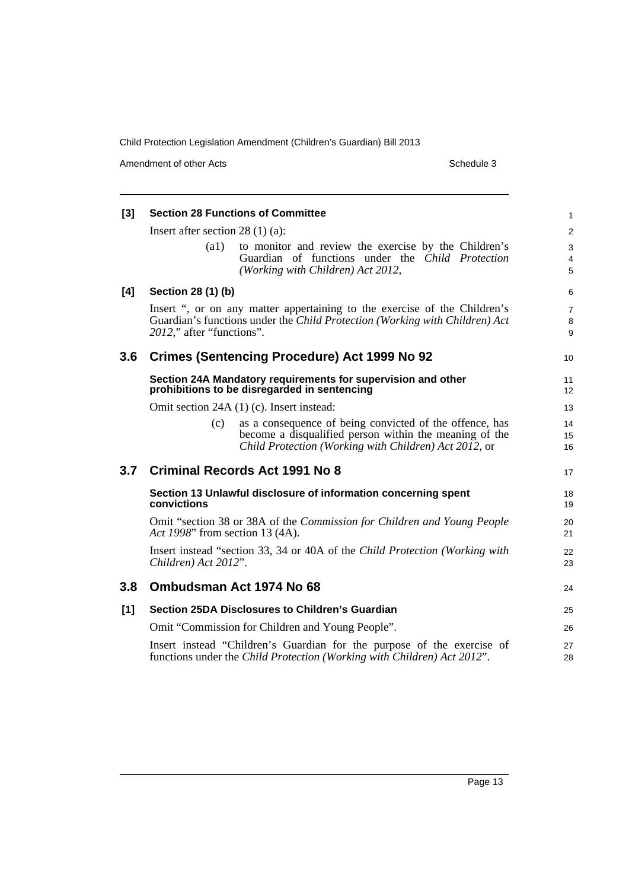Amendment of other Acts Schedule 3

| [3] | <b>Section 28 Functions of Committee</b>                                                                                                                                              | 1                        |
|-----|---------------------------------------------------------------------------------------------------------------------------------------------------------------------------------------|--------------------------|
|     | Insert after section $28(1)(a)$ :                                                                                                                                                     | $\overline{c}$           |
|     | (a1)<br>to monitor and review the exercise by the Children's<br>Guardian of functions under the Child Protection<br>(Working with Children) Act 2012,                                 | 3<br>4<br>5              |
| [4] | Section 28 (1) (b)                                                                                                                                                                    | 6                        |
|     | Insert ", or on any matter appertaining to the exercise of the Children's<br>Guardian's functions under the Child Protection (Working with Children) Act<br>2012," after "functions". | $\overline{7}$<br>8<br>9 |
| 3.6 | <b>Crimes (Sentencing Procedure) Act 1999 No 92</b>                                                                                                                                   | 10                       |
|     | Section 24A Mandatory requirements for supervision and other<br>prohibitions to be disregarded in sentencing                                                                          | 11<br>12                 |
|     | Omit section 24A (1) (c). Insert instead:                                                                                                                                             | 13                       |
|     | as a consequence of being convicted of the offence, has<br>(c)<br>become a disqualified person within the meaning of the<br>Child Protection (Working with Children) Act 2012, or     | 14<br>15<br>16           |
| 3.7 | <b>Criminal Records Act 1991 No 8</b>                                                                                                                                                 | 17                       |
|     | Section 13 Unlawful disclosure of information concerning spent<br>convictions                                                                                                         | 18<br>19                 |
|     | Omit "section 38 or 38A of the Commission for Children and Young People<br>Act 1998" from section 13 (4A).                                                                            | 20<br>21                 |
|     | Insert instead "section 33, 34 or 40A of the Child Protection (Working with<br>Children) Act 2012".                                                                                   | 22<br>23                 |
| 3.8 | Ombudsman Act 1974 No 68                                                                                                                                                              | 24                       |
| [1] | <b>Section 25DA Disclosures to Children's Guardian</b>                                                                                                                                | 25                       |
|     | Omit "Commission for Children and Young People".                                                                                                                                      | 26                       |
|     | Insert instead "Children's Guardian for the purpose of the exercise of<br>functions under the Child Protection (Working with Children) Act 2012".                                     | 27<br>28                 |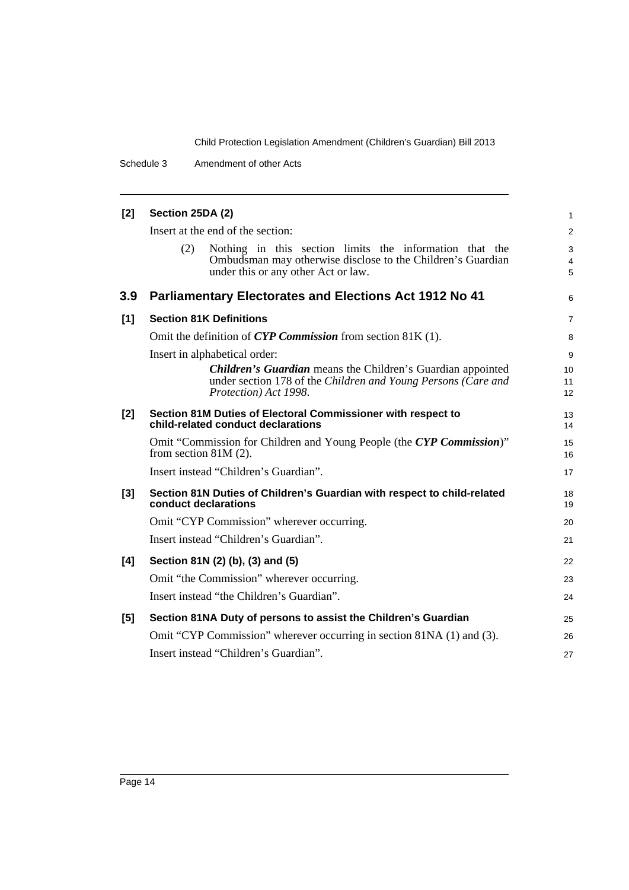Schedule 3 Amendment of other Acts

| [2] | Section 25DA (2)                                                                                                                                                     | $\mathbf{1}$             |
|-----|----------------------------------------------------------------------------------------------------------------------------------------------------------------------|--------------------------|
|     | Insert at the end of the section:                                                                                                                                    | $\overline{2}$           |
|     | Nothing in this section limits the information that the<br>(2)<br>Ombudsman may otherwise disclose to the Children's Guardian<br>under this or any other Act or law. | 3<br>$\overline{4}$<br>5 |
| 3.9 | <b>Parliamentary Electorates and Elections Act 1912 No 41</b>                                                                                                        | 6                        |
| [1] | <b>Section 81K Definitions</b>                                                                                                                                       | $\overline{7}$           |
|     | Omit the definition of CYP Commission from section 81K (1).                                                                                                          | 8                        |
|     | Insert in alphabetical order:                                                                                                                                        | 9                        |
|     | <b>Children's Guardian</b> means the Children's Guardian appointed<br>under section 178 of the Children and Young Persons (Care and<br>Protection) Act 1998.         | 10<br>11<br>12           |
| [2] | Section 81M Duties of Electoral Commissioner with respect to<br>child-related conduct declarations                                                                   | 13<br>14                 |
|     | Omit "Commission for Children and Young People (the CYP Commission)"<br>from section $81M(2)$ .                                                                      | 15<br>16                 |
|     | Insert instead "Children's Guardian".                                                                                                                                | 17                       |
| [3] | Section 81N Duties of Children's Guardian with respect to child-related<br>conduct declarations                                                                      | 18<br>19                 |
|     | Omit "CYP Commission" wherever occurring.                                                                                                                            | 20                       |
|     | Insert instead "Children's Guardian".                                                                                                                                | 21                       |
| [4] | Section 81N (2) (b), (3) and (5)                                                                                                                                     | 22                       |
|     | Omit "the Commission" wherever occurring.                                                                                                                            | 23                       |
|     | Insert instead "the Children's Guardian".                                                                                                                            | 24                       |
| [5] | Section 81NA Duty of persons to assist the Children's Guardian                                                                                                       | 25                       |
|     | Omit "CYP Commission" wherever occurring in section 81NA (1) and (3).                                                                                                | 26                       |
|     | Insert instead "Children's Guardian".                                                                                                                                | 27                       |